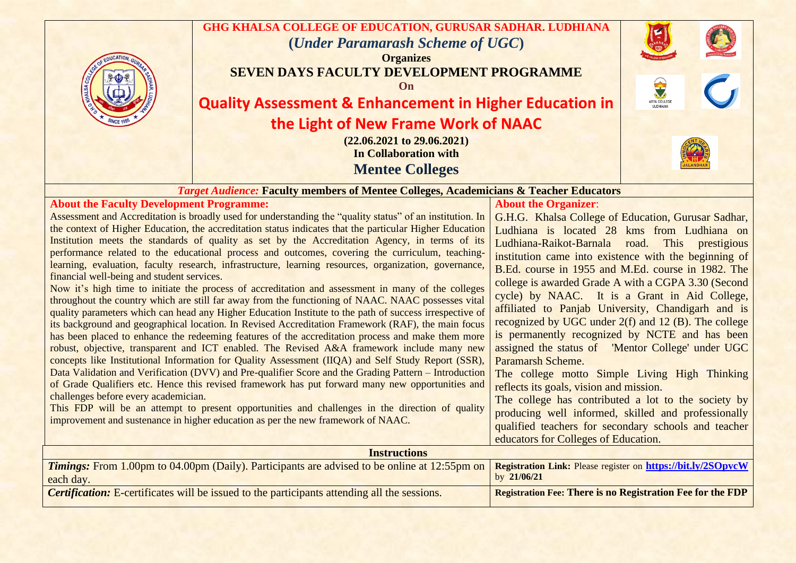

the context of Higher Education, the accreditation status indicates that the particular Higher Education Institution meets the standards of quality as set by the Accreditation Agency, in terms of its performance related to the educational process and outcomes, covering the curriculum, teachinglearning, evaluation, faculty research, infrastructure, learning resources, organization, governance, financial well-being and student services.

Now it's high time to initiate the process of accreditation and assessment in many of the colleges throughout the country which are still far away from the functioning of NAAC. NAAC possesses vital quality parameters which can head any Higher Education Institute to the path of success irrespective of its background and geographical location. In Revised Accreditation Framework (RAF), the main focus has been placed to enhance the redeeming features of the accreditation process and make them more robust, objective, transparent and ICT enabled. The Revised A&A framework include many new concepts like Institutional Information for Quality Assessment (IIQA) and Self Study Report (SSR), Data Validation and Verification (DVV) and Pre-qualifier Score and the Grading Pattern – Introduction of Grade Qualifiers etc. Hence this revised framework has put forward many new opportunities and challenges before every academician.

This FDP will be an attempt to present opportunities and challenges in the direction of quality improvement and sustenance in higher education as per the new framework of NAAC.

Ludhiana is located 28 kms from Ludhiana on Ludhiana-Raikot-Barnala road. This prestigious institution came into existence with the beginning of B.Ed. course in 1955 and M.Ed. course in 1982. The college is awarded Grade A with a CGPA 3.30 (Second cycle) by NAAC. It is a Grant in Aid College, affiliated to Panjab University, Chandigarh and is recognized by UGC under 2(f) and 12 (B). The college is permanently recognized by NCTE and has been assigned the status of 'Mentor College' under UGC Paramarsh Scheme.

The college motto Simple Living High Thinking reflects its goals, vision and mission.

The college has contributed a lot to the society by producing well informed, skilled and professionally qualified teachers for secondary schools and teacher educators for Colleges of Education.

| <b>Instructions</b>                                                                                                                                                                  |                                                                   |
|--------------------------------------------------------------------------------------------------------------------------------------------------------------------------------------|-------------------------------------------------------------------|
| <b>Timings:</b> From 1.00pm to 04.00pm (Daily). Participants are advised to be online at 12:55pm on <b>Registration Link:</b> Please register on https://bit.ly/2SOpvcW<br>each day. | by $21/06/21$                                                     |
| <b>Certification:</b> E-certificates will be issued to the participants attending all the sessions.                                                                                  | <b>Registration Fee: There is no Registration Fee for the FDP</b> |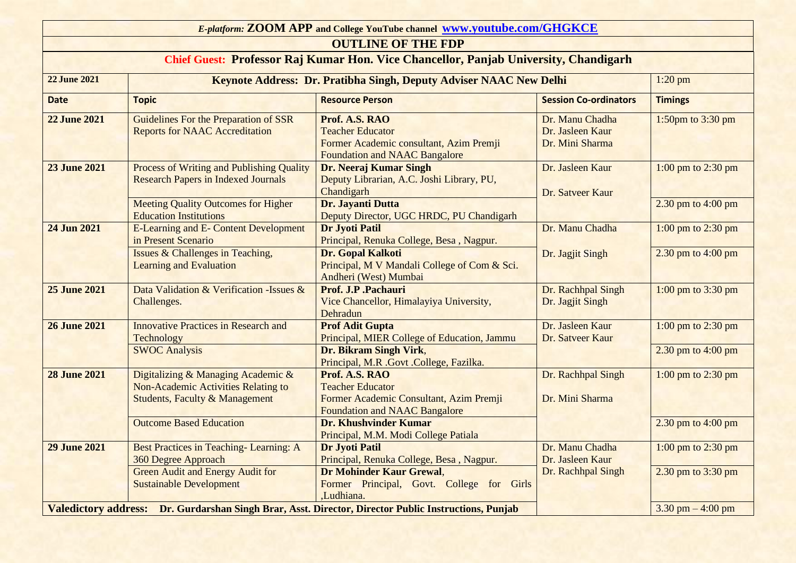| E-platform: ZOOM APP and College YouTube channel www.youtube.com/GHGKCE                                           |                                                                                                                        |                                                                                                                              |                                                        |                      |  |  |
|-------------------------------------------------------------------------------------------------------------------|------------------------------------------------------------------------------------------------------------------------|------------------------------------------------------------------------------------------------------------------------------|--------------------------------------------------------|----------------------|--|--|
| <b>OUTLINE OF THE FDP</b><br>Chief Guest: Professor Raj Kumar Hon. Vice Chancellor, Panjab University, Chandigarh |                                                                                                                        |                                                                                                                              |                                                        |                      |  |  |
|                                                                                                                   |                                                                                                                        |                                                                                                                              |                                                        |                      |  |  |
| <b>Date</b>                                                                                                       | <b>Topic</b>                                                                                                           | <b>Resource Person</b>                                                                                                       | <b>Session Co-ordinators</b>                           | <b>Timings</b>       |  |  |
| <b>22 June 2021</b>                                                                                               | Guidelines For the Preparation of SSR<br><b>Reports for NAAC Accreditation</b>                                         | Prof. A.S. RAO<br><b>Teacher Educator</b><br>Former Academic consultant, Azim Premji<br><b>Foundation and NAAC Bangalore</b> | Dr. Manu Chadha<br>Dr. Jasleen Kaur<br>Dr. Mini Sharma | 1:50pm to $3:30$ pm  |  |  |
| <b>23 June 2021</b>                                                                                               | <b>Process of Writing and Publishing Quality</b><br><b>Research Papers in Indexed Journals</b>                         | Dr. Neeraj Kumar Singh<br>Deputy Librarian, A.C. Joshi Library, PU,<br>Chandigarh                                            | Dr. Jasleen Kaur<br>Dr. Satveer Kaur                   | 1:00 pm to 2:30 pm   |  |  |
|                                                                                                                   | <b>Meeting Quality Outcomes for Higher</b><br><b>Education Institutions</b>                                            | Dr. Jayanti Dutta<br>Deputy Director, UGC HRDC, PU Chandigarh                                                                |                                                        | 2.30 pm to $4:00$ pm |  |  |
| 24 Jun 2021                                                                                                       | <b>E-Learning and E- Content Development</b><br>in Present Scenario                                                    | <b>Dr Jyoti Patil</b><br>Principal, Renuka College, Besa, Nagpur.                                                            | Dr. Manu Chadha                                        | 1:00 pm to $2:30$ pm |  |  |
|                                                                                                                   | Issues & Challenges in Teaching,<br><b>Learning and Evaluation</b>                                                     | Dr. Gopal Kalkoti<br>Principal, M V Mandali College of Com & Sci.<br>Andheri (West) Mumbai                                   | Dr. Jagjit Singh                                       | 2.30 pm to $4:00$ pm |  |  |
| <b>25 June 2021</b>                                                                                               | Data Validation & Verification - Issues &<br>Challenges.                                                               | Prof. J.P .Pachauri<br>Vice Chancellor, Himalayiya University,<br>Dehradun                                                   | Dr. Rachhpal Singh<br>Dr. Jagjit Singh                 | 1:00 pm to 3:30 pm   |  |  |
| <b>26 June 2021</b>                                                                                               | <b>Innovative Practices in Research and</b><br>Technology                                                              | <b>Prof Adit Gupta</b><br>Principal, MIER College of Education, Jammu                                                        | Dr. Jasleen Kaur<br>Dr. Satveer Kaur                   | 1:00 pm to 2:30 pm   |  |  |
|                                                                                                                   | <b>SWOC Analysis</b>                                                                                                   | Dr. Bikram Singh Virk,<br>Principal, M.R .Govt .College, Fazilka.                                                            |                                                        | 2.30 pm to $4:00$ pm |  |  |
| <b>28 June 2021</b>                                                                                               | Digitalizing & Managing Academic &<br>Non-Academic Activities Relating to<br><b>Students, Faculty &amp; Management</b> | Prof. A.S. RAO<br><b>Teacher Educator</b><br>Former Academic Consultant, Azim Premji<br><b>Foundation and NAAC Bangalore</b> | Dr. Rachhpal Singh<br>Dr. Mini Sharma                  | 1:00 pm to $2:30$ pm |  |  |
|                                                                                                                   | <b>Outcome Based Education</b>                                                                                         | <b>Dr. Khushvinder Kumar</b><br>Principal, M.M. Modi College Patiala                                                         |                                                        | 2.30 pm to $4:00$ pm |  |  |
| <b>29 June 2021</b>                                                                                               | Best Practices in Teaching-Learning: A<br>360 Degree Approach                                                          | <b>Dr Jyoti Patil</b><br>Principal, Renuka College, Besa, Nagpur.                                                            | Dr. Manu Chadha<br>Dr. Jasleen Kaur                    | 1:00 pm to $2:30$ pm |  |  |
|                                                                                                                   | <b>Green Audit and Energy Audit for</b><br><b>Sustainable Development</b>                                              | Dr Mohinder Kaur Grewal,<br>Former Principal, Govt. College for Girls<br>,Ludhiana.                                          | Dr. Rachhpal Singh                                     | 2.30 pm to 3:30 pm   |  |  |
| Valedictory address: Dr. Gurdarshan Singh Brar, Asst. Director, Director Public Instructions, Punjab              |                                                                                                                        | 3.30 pm $-4:00$ pm                                                                                                           |                                                        |                      |  |  |